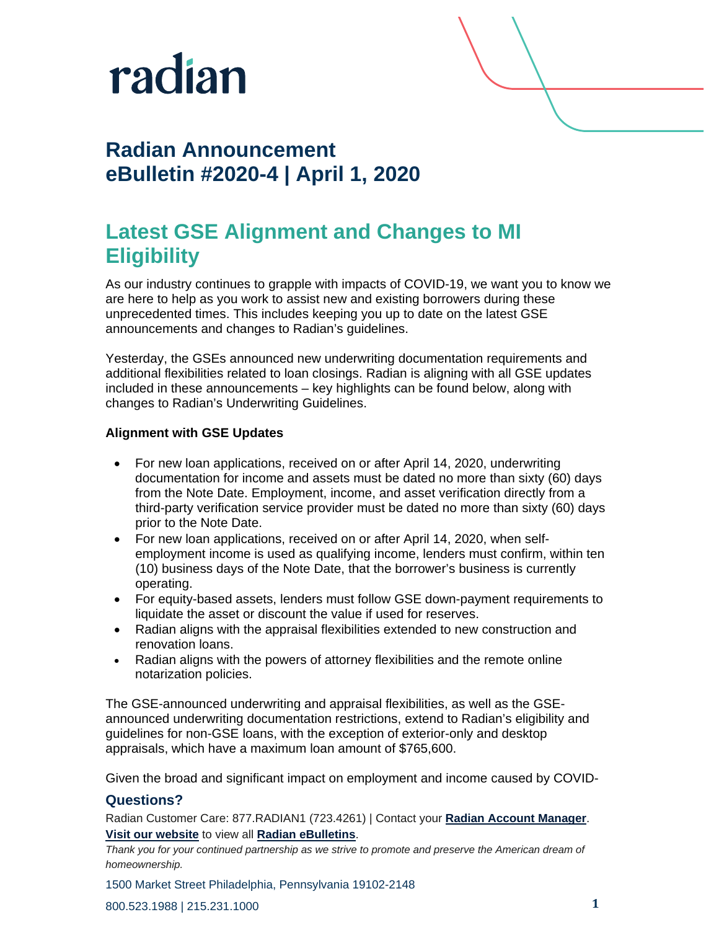

# **Radian Announcement eBulletin #2020-4 | April 1, 2020**

# **Latest GSE Alignment and Changes to MI Eligibility**

As our industry continues to grapple with impacts of COVID-19, we want you to know we are here to help as you work to assist new and existing borrowers during these unprecedented times. This includes keeping you up to date on the latest GSE announcements and changes to Radian's guidelines.

Yesterday, the GSEs announced new underwriting documentation requirements and additional flexibilities related to loan closings. Radian is aligning with all GSE updates included in these announcements – key highlights can be found below, along with changes to Radian's Underwriting Guidelines.

### **Alignment with GSE Updates**

- For new loan applications, received on or after April 14, 2020, underwriting documentation for income and assets must be dated no more than sixty (60) days from the Note Date. Employment, income, and asset verification directly from a third-party verification service provider must be dated no more than sixty (60) days prior to the Note Date.
- For new loan applications, received on or after April 14, 2020, when selfemployment income is used as qualifying income, lenders must confirm, within ten (10) business days of the Note Date, that the borrower's business is currently operating.
- For equity-based assets, lenders must follow GSE down-payment requirements to liquidate the asset or discount the value if used for reserves.
- Radian aligns with the appraisal flexibilities extended to new construction and renovation loans.
- Radian aligns with the powers of attorney flexibilities and the remote online notarization policies.

The GSE-announced underwriting and appraisal flexibilities, as well as the GSEannounced underwriting documentation restrictions, extend to Radian's eligibility and guidelines for non-GSE loans, with the exception of exterior-only and desktop appraisals, which have a maximum loan amount of \$765,600.

Given the broad and significant impact on employment and income caused by COVID-

### **Questions?**

Radian Customer Care: 877.RADIAN1 (723.4261) | Contact your **[Radian Account Manager](http://www.radian.biz/page?name=SalesRepFinder)**. **[Visit our website](https://www.radian.biz/page?name=HomePage)** to view all **[Radian eBulletins](http://www.radian.biz/page?name=RadianEbulletins)**.

*Thank you for your continued partnership as we strive to promote and preserve the American dream of homeownership.*

1500 Market Street Philadelphia, Pennsylvania 19102-2148

800.523.1988 | 215.231.1000 **1**